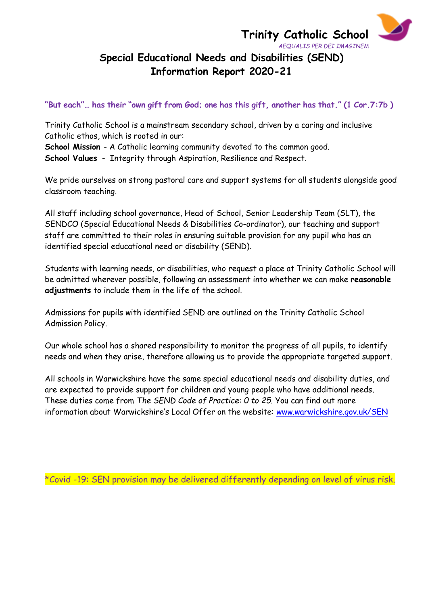$\blacktriangleright$ 

"But each"... has their "own gift from God; one has this gift, another has that." (1 Cor. 7:7b)

Trinity Catholic School is a mainstream secondary school, driven by a caring and inclusive Catholic ethos, which is rooted in our: **School Mission** - A Catholic learning community devoted to the common good.

**School Values** - Integrity through Aspiration, Resilience and Respect.

We pride ourselves on strong pastoral care and support systems for all students alongside good classroom teaching.

All staff including school governance, Head of School, Senior Leadership Team (SLT), the SENDCO (Special Educational Needs & Disabilities Co-ordinator), our teaching and support staff are committed to their roles in ensuring suitable provision for any pupil who has an identified special educational need or disability (SEND).

Students with learning needs, or disabilities, who request a place at Trinity Catholic School will be admitted wherever possible, following an assessment into whether we can make **reasonable adjustments** to include them in the life of the school.

Admissions for pupils with identified SEND are outlined on the Trinity Catholic School Admission Policy.

Our whole school has a shared responsibility to monitor the progress of all pupils, to identify needs and when they arise, therefore allowing us to provide the appropriate targeted support.

All schools in Warwickshire have the same special educational needs and disability duties, and are expected to provide support for children and young people who have additional needs. These duties come from *The SEND Code of Practice: 0 to 25.* You can find out more information about Warwickshire's Local Offer on the website: [www.warwickshire.gov.uk/SEN](http://www.warwickshire.gov.uk/SEN)

\*Covid -19: SEN provision may be delivered differently depending on level of virus risk.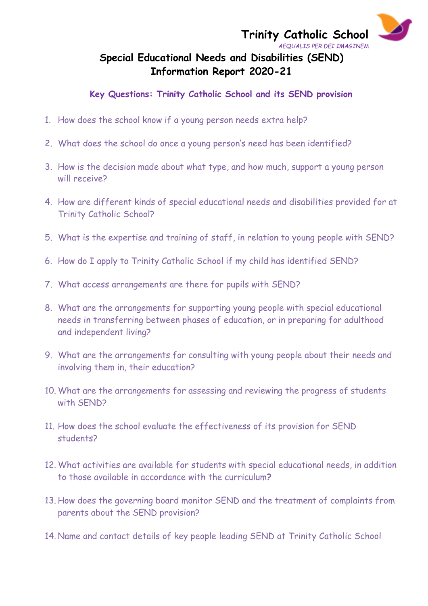

#### **Key Questions: Trinity Catholic School and its SEND provision**

- 1. How does the school know if a young person needs extra help?
- 2. What does the school do once a young person's need has been identified?
- 3. How is the decision made about what type, and how much, support a young person will receive?
- 4. How are different kinds of special educational needs and disabilities provided for at Trinity Catholic School?
- 5. What is the expertise and training of staff, in relation to young people with SEND?
- 6. How do I apply to Trinity Catholic School if my child has identified SEND?
- 7. What access arrangements are there for pupils with SEND?
- 8. What are the arrangements for supporting young people with special educational needs in transferring between phases of education, or in preparing for adulthood and independent living?
- 9. What are the arrangements for consulting with young people about their needs and involving them in, their education?
- 10. What are the arrangements for assessing and reviewing the progress of students with SEND?
- 11. How does the school evaluate the effectiveness of its provision for SEND students?
- 12. What activities are available for students with special educational needs, in addition to those available in accordance with the curriculum**?**
- 13. How does the governing board monitor SEND and the treatment of complaints from parents about the SEND provision?
- 14. Name and contact details of key people leading SEND at Trinity Catholic School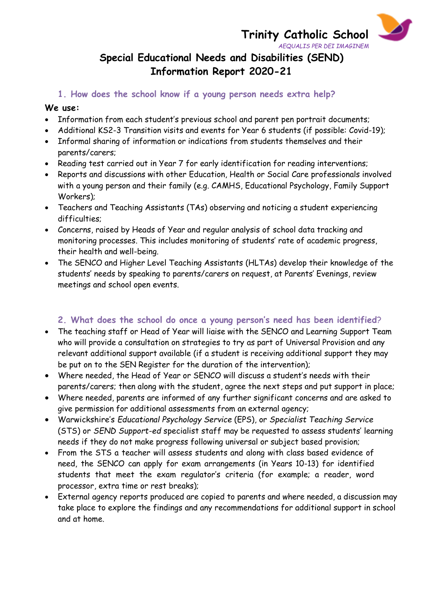$\blacktriangleright$ 

#### **1. How does the school know if a young person needs extra help?**

#### **We use:**

- Information from each student's previous school and parent pen portrait documents;
- Additional KS2-3 Transition visits and events for Year 6 students (if possible: Covid-19);
- Informal sharing of information or indications from students themselves and their parents/carers;
- Reading test carried out in Year 7 for early identification for reading interventions;
- Reports and discussions with other Education, Health or Social Care professionals involved with a young person and their family (e.g. CAMHS, Educational Psychology, Family Support Workers);
- Teachers and Teaching Assistants (TAs) observing and noticing a student experiencing difficulties;
- Concerns, raised by Heads of Year and regular analysis of school data tracking and monitoring processes. This includes monitoring of students' rate of academic progress, their health and well-being.
- The SENCO and Higher Level Teaching Assistants (HLTAs) develop their knowledge of the students' needs by speaking to parents/carers on request, at Parents' Evenings, review meetings and school open events.

## **2. What does the school do once a young person's need has been identified**?

- The teaching staff or Head of Year will liaise with the SENCO and Learning Support Team who will provide a consultation on strategies to try as part of Universal Provision and any relevant additional support available (if a student is receiving additional support they may be put on to the SEN Register for the duration of the intervention);
- Where needed, the Head of Year or SENCO will discuss a student's needs with their parents/carers; then along with the student, agree the next steps and put support in place;
- Where needed, parents are informed of any further significant concerns and are asked to give permission for additional assessments from an external agency;
- Warwickshire's *Educational Psychology Service* (EPS), or *Specialist Teaching Service* (STS) or *SEND Support-ed* specialist staff may be requested to assess students' learning needs if they do not make progress following universal or subject based provision;
- From the STS a teacher will assess students and along with class based evidence of need, the SENCO can apply for exam arrangements (in Years 10-13) for identified students that meet the exam regulator's criteria (for example; a reader, word processor, extra time or rest breaks);
- External agency reports produced are copied to parents and where needed, a discussion may take place to explore the findings and any recommendations for additional support in school and at home.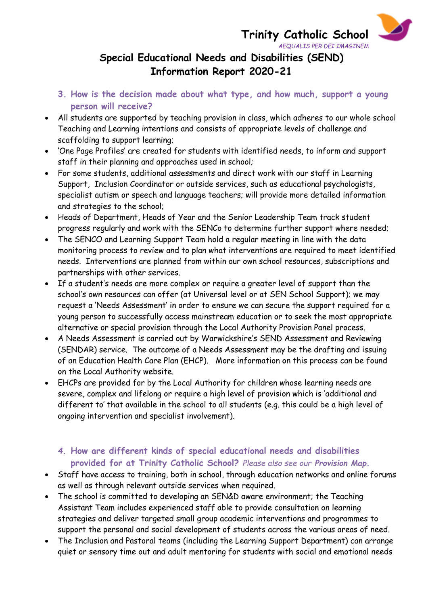**Trinity Catholic School**  *AEQUALIS PER DEI IMAGINEM*  $\blacktriangleright$ 

# **Special Educational Needs and Disabilities (SEND) Information Report 2020-21**

- **3. How is the decision made about what type, and how much, support a young person will receive?**
- All students are supported by teaching provision in class, which adheres to our whole school Teaching and Learning intentions and consists of appropriate levels of challenge and scaffolding to support learning;
- 'One Page Profiles' are created for students with identified needs, to inform and support staff in their planning and approaches used in school;
- For some students, additional assessments and direct work with our staff in Learning Support, Inclusion Coordinator or outside services, such as educational psychologists, specialist autism or speech and language teachers; will provide more detailed information and strategies to the school;
- Heads of Department, Heads of Year and the Senior Leadership Team track student progress regularly and work with the SENCo to determine further support where needed;
- The SENCO and Learning Support Team hold a regular meeting in line with the data monitoring process to review and to plan what interventions are required to meet identified needs. Interventions are planned from within our own school resources, subscriptions and partnerships with other services.
- If a student's needs are more complex or require a greater level of support than the school's own resources can offer (at Universal level or at SEN School Support); we may request a 'Needs Assessment' in order to ensure we can secure the support required for a young person to successfully access mainstream education or to seek the most appropriate alternative or special provision through the Local Authority Provision Panel process.
- A Needs Assessment is carried out by Warwickshire's SEND Assessment and Reviewing (SENDAR) service. The outcome of a Needs Assessment may be the drafting and issuing of an Education Health Care Plan (EHCP). More information on this process can be found on the Local Authority website.
- EHCPs are provided for by the Local Authority for children whose learning needs are severe, complex and lifelong or require a high level of provision which is 'additional and different to' that available in the school to all students (e.g. this could be a high level of ongoing intervention and specialist involvement).

## *4.* **How are different kinds of special educational needs and disabilities provided for at Trinity Catholic School?** *Please also see our Provision Map.*

- Staff have access to training, both in school, through education networks and online forums as well as through relevant outside services when required.
- The school is committed to developing an SEN&D aware environment; the Teaching Assistant Team includes experienced staff able to provide consultation on learning strategies and deliver targeted small group academic interventions and programmes to support the personal and social development of students across the various areas of need.
- The Inclusion and Pastoral teams (including the Learning Support Department) can arrange quiet or sensory time out and adult mentoring for students with social and emotional needs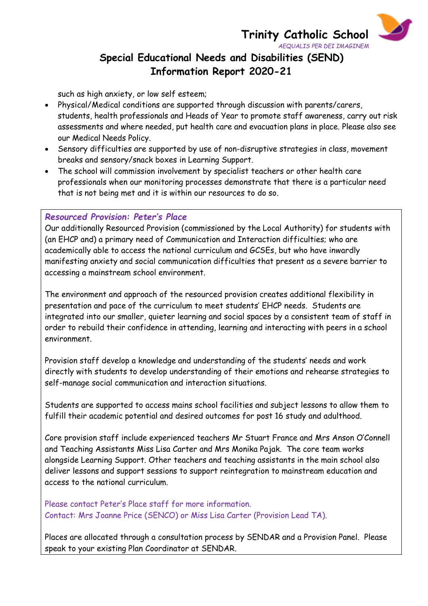**Trinity Catholic School**  *AEQUALIS PER DEI IMAGINEM*  $\blacktriangleright$ 

# **Special Educational Needs and Disabilities (SEND) Information Report 2020-21**

such as high anxiety, or low self esteem;

- Physical/Medical conditions are supported through discussion with parents/carers, students, health professionals and Heads of Year to promote staff awareness, carry out risk assessments and where needed, put health care and evacuation plans in place. Please also see our Medical Needs Policy.
- Sensory difficulties are supported by use of non-disruptive strategies in class, movement breaks and sensory/snack boxes in Learning Support.
- The school will commission involvement by specialist teachers or other health care professionals when our monitoring processes demonstrate that there is a particular need that is not being met and it is within our resources to do so.

#### *Resourced Provision: Peter's Place*

Our additionally Resourced Provision (commissioned by the Local Authority) for students with (an EHCP and) a primary need of Communication and Interaction difficulties; who are academically able to access the national curriculum and GCSEs, but who have inwardly manifesting anxiety and social communication difficulties that present as a severe barrier to accessing a mainstream school environment.

The environment and approach of the resourced provision creates additional flexibility in presentation and pace of the curriculum to meet students' EHCP needs. Students are integrated into our smaller, quieter learning and social spaces by a consistent team of staff in order to rebuild their confidence in attending, learning and interacting with peers in a school environment.

Provision staff develop a knowledge and understanding of the students' needs and work directly with students to develop understanding of their emotions and rehearse strategies to self-manage social communication and interaction situations.

Students are supported to access mains school facilities and subject lessons to allow them to fulfill their academic potential and desired outcomes for post 16 study and adulthood.

Core provision staff include experienced teachers Mr Stuart France and Mrs Anson O'Connell and Teaching Assistants Miss Lisa Carter and Mrs Monika Pajak. The core team works alongside Learning Support. Other teachers and teaching assistants in the main school also deliver lessons and support sessions to support reintegration to mainstream education and access to the national curriculum.

Please contact Peter's Place staff for more information. Contact: Mrs Joanne Price (SENCO) or Miss Lisa Carter (Provision Lead TA).

Places are allocated through a consultation process by SENDAR and a Provision Panel. Please speak to your existing Plan Coordinator at SENDAR.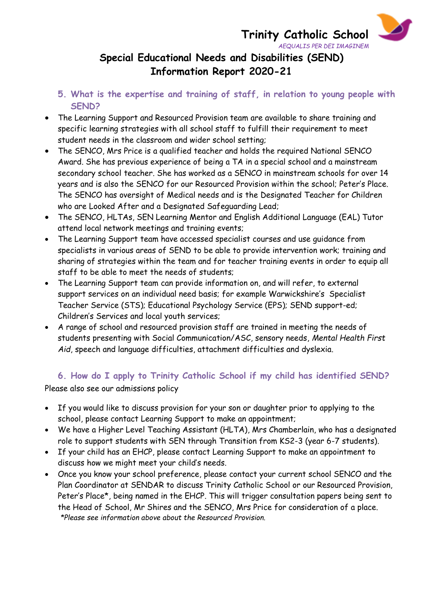**Trinity Catholic School**  *AEQUALIS PER DEI IMAGINEM*  $\blacktriangleright$ 

# **Special Educational Needs and Disabilities (SEND) Information Report 2020-21**

- **5. What is the expertise and training of staff, in relation to young people with SEND?**
- The Learning Support and Resourced Provision team are available to share training and specific learning strategies with all school staff to fulfill their requirement to meet student needs in the classroom and wider school setting;
- The SENCO, Mrs Price is a qualified teacher and holds the required National SENCO Award. She has previous experience of being a TA in a special school and a mainstream secondary school teacher. She has worked as a SENCO in mainstream schools for over 14 years and is also the SENCO for our Resourced Provision within the school; Peter's Place. The SENCO has oversight of Medical needs and is the Designated Teacher for Children who are Looked After and a Designated Safeguarding Lead;
- The SENCO, HLTAs, SEN Learning Mentor and English Additional Language (EAL) Tutor attend local network meetings and training events;
- The Learning Support team have accessed specialist courses and use guidance from specialists in various areas of SEND to be able to provide intervention work; training and sharing of strategies within the team and for teacher training events in order to equip all staff to be able to meet the needs of students;
- The Learning Support team can provide information on, and will refer, to external support services on an individual need basis; for example Warwickshire's Specialist Teacher Service (STS); Educational Psychology Service (EPS); SEND support-ed; Children's Services and local youth services;
- A range of school and resourced provision staff are trained in meeting the needs of students presenting with Social Communication/ASC, sensory needs, *Mental Health First Aid*, speech and language difficulties, attachment difficulties and dyslexia.

## **6. How do I apply to Trinity Catholic School if my child has identified SEND?**

Please also see our admissions policy

- If you would like to discuss provision for your son or daughter prior to applying to the school, please contact Learning Support to make an appointment;
- We have a Higher Level Teaching Assistant (HLTA), Mrs Chamberlain, who has a designated role to support students with SEN through Transition from KS2-3 (year 6-7 students).
- If your child has an EHCP, please contact Learning Support to make an appointment to discuss how we might meet your child's needs.
- Once you know your school preference, please contact your current school SENCO and the Plan Coordinator at SENDAR to discuss Trinity Catholic School or our Resourced Provision, Peter's Place\*, being named in the EHCP. This will trigger consultation papers being sent to the Head of School, Mr Shires and the SENCO, Mrs Price for consideration of a place. *\*Please see information above about the Resourced Provision.*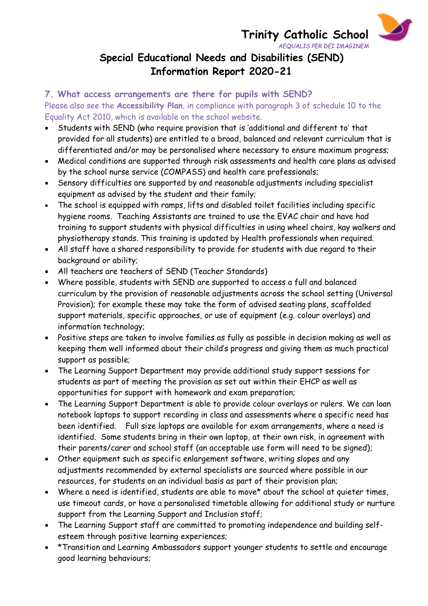# **Trinity Catholic School**

 $\blacktriangleright$ 



#### **7. What access arrangements are there for pupils with SEND?**

Please also see the **Accessibility Plan**, in compliance with paragraph 3 of schedule 10 to the Equality Act 2010, which is available on the school website.

- Students with SEND (who require provision that is 'additional and different to' that provided for all students) are entitled to a broad, balanced and relevant curriculum that is differentiated and/or may be personalised where necessary to ensure maximum progress;
- Medical conditions are supported through risk assessments and health care plans as advised by the school nurse service (COMPASS) and health care professionals;
- Sensory difficulties are supported by and reasonable adjustments including specialist equipment as advised by the student and their family;
- The school is equipped with ramps, lifts and disabled toilet facilities including specific hygiene rooms. Teaching Assistants are trained to use the EVAC chair and have had training to support students with physical difficulties in using wheel chairs, kay walkers and physiotherapy stands. This training is updated by Health professionals when required.
- All staff have a shared responsibility to provide for students with due regard to their background or ability;
- All teachers are teachers of SEND (Teacher Standards)
- Where possible, students with SEND are supported to access a full and balanced curriculum by the provision of reasonable adjustments across the school setting (Universal Provision); for example these may take the form of advised seating plans, scaffolded support materials, specific approaches, or use of equipment (e.g. colour overlays) and information technology;
- Positive steps are taken to involve families as fully as possible in decision making as well as keeping them well informed about their child's progress and giving them as much practical support as possible;
- The Learning Support Department may provide additional study support sessions for students as part of meeting the provision as set out within their EHCP as well as opportunities for support with homework and exam preparation;
- The Learning Support Department is able to provide colour overlays or rulers. We can loan notebook laptops to support recording in class and assessments where a specific need has been identified. Full size laptops are available for exam arrangements, where a need is identified. Some students bring in their own laptop, at their own risk, in agreement with their parents/carer and school staff (an acceptable use form will need to be signed);
- Other equipment such as specific enlargement software, writing slopes and any adjustments recommended by external specialists are sourced where possible in our resources, for students on an individual basis as part of their provision plan;
- Where a need is identified, students are able to move\* about the school at quieter times, use timeout cards, or have a personalised timetable allowing for additional study or nurture support from the Learning Support and Inclusion staff;
- The Learning Support staff are committed to promoting independence and building selfesteem through positive learning experiences;
- \*Transition and Learning Ambassadors support younger students to settle and encourage good learning behaviours;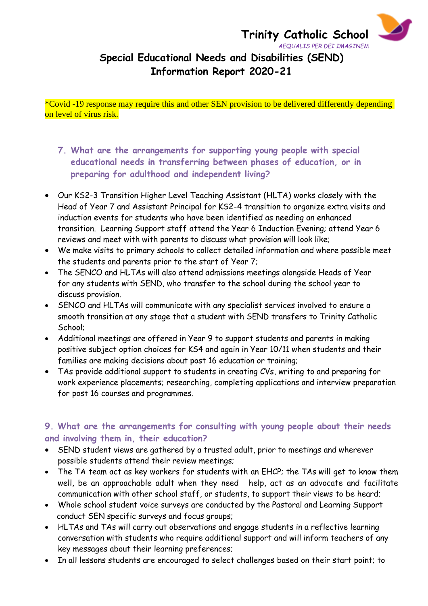$\blacktriangleright$ 

\*Covid -19 response may require this and other SEN provision to be delivered differently depending on level of virus risk.

- **7. What are the arrangements for supporting young people with special educational needs in transferring between phases of education, or in preparing for adulthood and independent living?**
- Our KS2-3 Transition Higher Level Teaching Assistant (HLTA) works closely with the Head of Year 7 and Assistant Principal for KS2-4 transition to organize extra visits and induction events for students who have been identified as needing an enhanced transition. Learning Support staff attend the Year 6 Induction Evening; attend Year 6 reviews and meet with with parents to discuss what provision will look like;
- We make visits to primary schools to collect detailed information and where possible meet the students and parents prior to the start of Year 7;
- The SENCO and HLTAs will also attend admissions meetings alongside Heads of Year for any students with SEND, who transfer to the school during the school year to discuss provision.
- SENCO and HLTAs will communicate with any specialist services involved to ensure a smooth transition at any stage that a student with SEND transfers to Trinity Catholic School;
- Additional meetings are offered in Year 9 to support students and parents in making positive subject option choices for KS4 and again in Year 10/11 when students and their families are making decisions about post 16 education or training;
- TAs provide additional support to students in creating CVs, writing to and preparing for work experience placements; researching, completing applications and interview preparation for post 16 courses and programmes.

## **9. What are the arrangements for consulting with young people about their needs and involving them in, their education?**

- SEND student views are gathered by a trusted adult, prior to meetings and wherever possible students attend their review meetings;
- The TA team act as key workers for students with an EHCP; the TAs will get to know them well, be an approachable adult when they need help, act as an advocate and facilitate communication with other school staff, or students, to support their views to be heard;
- Whole school student voice surveys are conducted by the Pastoral and Learning Support conduct SEN specific surveys and focus groups;
- HLTAs and TAs will carry out observations and engage students in a reflective learning conversation with students who require additional support and will inform teachers of any key messages about their learning preferences;
- In all lessons students are encouraged to select challenges based on their start point; to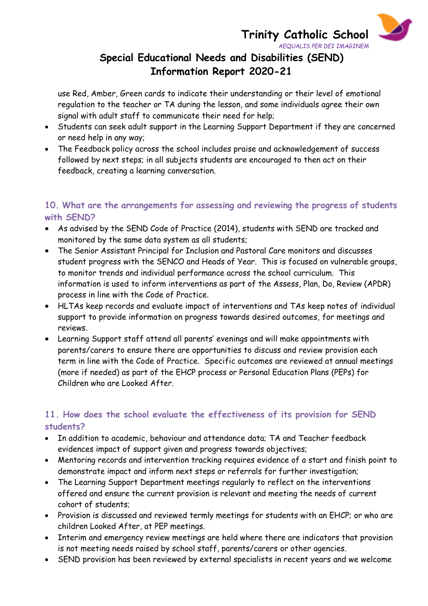**Trinity Catholic School**

 $\blacktriangleright$ 

## *AEQUALIS PER DEI IMAGINEM* **Special Educational Needs and Disabilities (SEND) Information Report 2020-21**

use Red, Amber, Green cards to indicate their understanding or their level of emotional regulation to the teacher or TA during the lesson, and some individuals agree their own signal with adult staff to communicate their need for help;

- Students can seek adult support in the Learning Support Department if they are concerned or need help in any way;
- The Feedback policy across the school includes praise and acknowledgement of success followed by next steps; in all subjects students are encouraged to then act on their feedback, creating a learning conversation.

## **10. What are the arrangements for assessing and reviewing the progress of students with SEND?**

- As advised by the SEND Code of Practice (2014), students with SEND are tracked and monitored by the same data system as all students;
- The Senior Assistant Principal for Inclusion and Pastoral Care monitors and discusses student progress with the SENCO and Heads of Year. This is focused on vulnerable groups, to monitor trends and individual performance across the school curriculum. This information is used to inform interventions as part of the Assess, Plan, Do, Review (APDR) process in line with the Code of Practice.
- HLTAs keep records and evaluate impact of interventions and TAs keep notes of individual support to provide information on progress towards desired outcomes, for meetings and reviews.
- Learning Support staff attend all parents' evenings and will make appointments with parents/carers to ensure there are opportunities to discuss and review provision each term in line with the Code of Practice. Specific outcomes are reviewed at annual meetings (more if needed) as part of the EHCP process or Personal Education Plans (PEPs) for Children who are Looked After.

## **11. How does the school evaluate the effectiveness of its provision for SEND students?**

- In addition to academic, behaviour and attendance data; TA and Teacher feedback evidences impact of support given and progress towards objectives;
- Mentoring records and intervention tracking requires evidence of a start and finish point to demonstrate impact and inform next steps or referrals for further investigation;
- The Learning Support Department meetings regularly to reflect on the interventions offered and ensure the current provision is relevant and meeting the needs of current cohort of students;
- Provision is discussed and reviewed termly meetings for students with an EHCP; or who are children Looked After, at PEP meetings.
- Interim and emergency review meetings are held where there are indicators that provision is not meeting needs raised by school staff, parents/carers or other agencies.
- SEND provision has been reviewed by external specialists in recent years and we welcome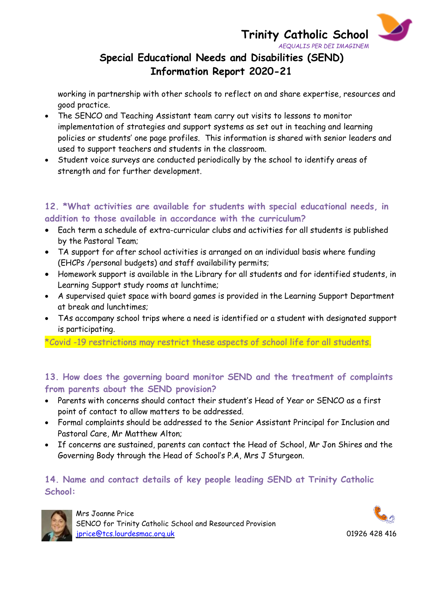Δ **Trinity Catholic School**  *AEQUALIS PER DEI IMAGINEM*

# **Special Educational Needs and Disabilities (SEND) Information Report 2020-21**

working in partnership with other schools to reflect on and share expertise, resources and good practice.

- The SENCO and Teaching Assistant team carry out visits to lessons to monitor implementation of strategies and support systems as set out in teaching and learning policies or students' one page profiles. This information is shared with senior leaders and used to support teachers and students in the classroom.
- Student voice surveys are conducted periodically by the school to identify areas of strength and for further development.

## **12. \*What activities are available for students with special educational needs, in addition to those available in accordance with the curriculum?**

- Each term a schedule of extra-curricular clubs and activities for all students is published by the Pastoral Team;
- TA support for after school activities is arranged on an individual basis where funding (EHCPs /personal budgets) and staff availability permits;
- Homework support is available in the Library for all students and for identified students, in Learning Support study rooms at lunchtime;
- A supervised quiet space with board games is provided in the Learning Support Department at break and lunchtimes;
- TAs accompany school trips where a need is identified or a student with designated support is participating.

\*Covid -19 restrictions may restrict these aspects of school life for all students.

## **13. How does the governing board monitor SEND and the treatment of complaints from parents about the SEND provision?**

- Parents with concerns should contact their student's Head of Year or SENCO as a first point of contact to allow matters to be addressed.
- Formal complaints should be addressed to the Senior Assistant Principal for Inclusion and Pastoral Care, Mr Matthew Alton;
- If concerns are sustained, parents can contact the Head of School, Mr Jon Shires and the Governing Body through the Head of School's P.A, Mrs J Sturgeon.

## **14. Name and contact details of key people leading SEND at Trinity Catholic School:**